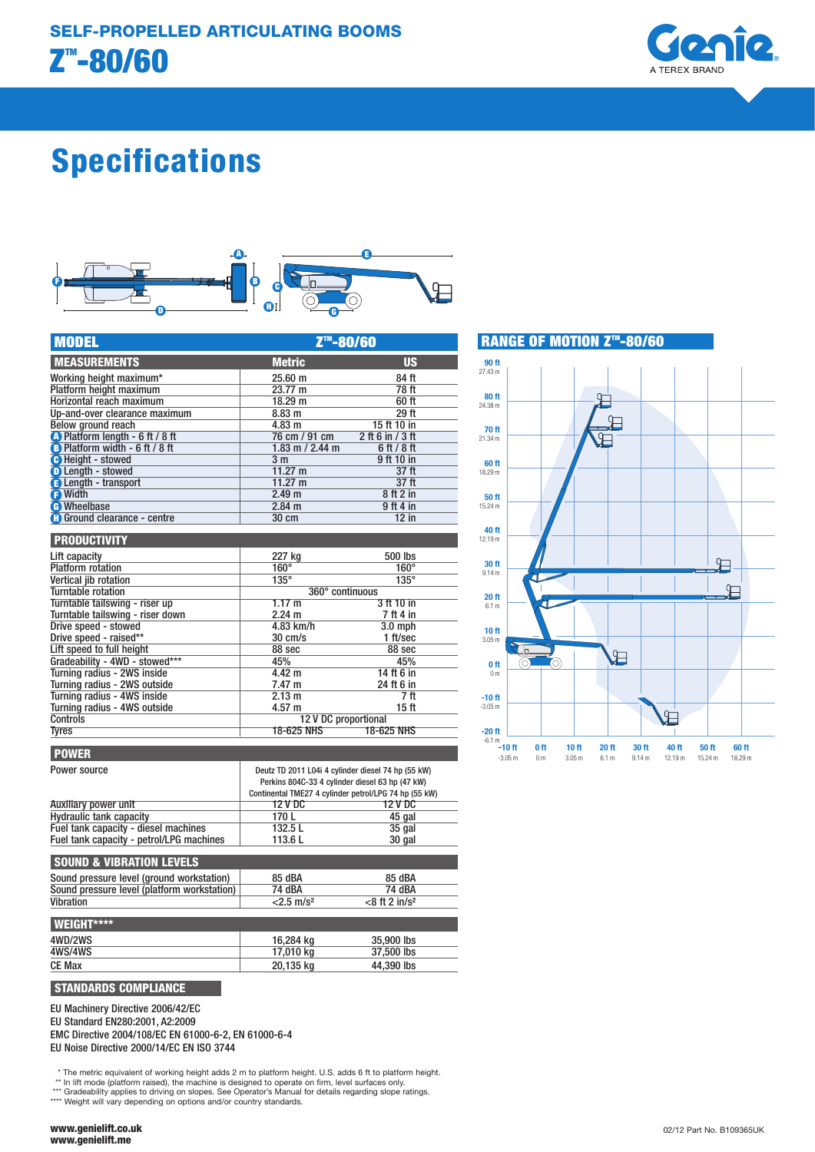

# Specifications



| <b>MODEL</b>                             | Z <sup>™</sup> -80/60 |                    |  |
|------------------------------------------|-----------------------|--------------------|--|
| <b>MEASUREMENTS</b>                      | <b>Metric</b>         | <b>US</b>          |  |
| Working height maximum*                  | $25.60 \text{ m}$     | 84 ft              |  |
| Platform height maximum                  | 23.77 m               | 78 ft              |  |
| Horizontal reach maximum                 | 18.29 m               | 60 ft              |  |
| Up-and-over clearance maximum            | 8.83 m                | 29 ft              |  |
| Below ground reach                       | 4.83 m                | 15 ft 10 in        |  |
| <b>A</b> Platform length - 6 ft / 8 ft   | 76 cm / 91 cm         | 2 ft 6 in $/$ 3 ft |  |
| <b>B</b> Platform width - 6 ft / 8 ft    | 1.83 m / 2.44 m       | 6ft/8ft            |  |
| <b>B</b> Height - stowed                 | 3 <sub>m</sub>        | 9 ft 10 in         |  |
| <b>D</b> Length - stowed                 | $11.27 \text{ m}$     | 37 <sub>ft</sub>   |  |
| <b>B</b> Length - transport              | $11.27 \text{ m}$     | 37 ft              |  |
| <b>B</b> Width                           | 2.49 <sub>m</sub>     | 8 ft 2 in          |  |
| <b>A</b> Wheelbase                       | $2.84$ m              | 9 ft 4 in          |  |
| <b>Control</b> Ground clearance - centre | 30 cm                 | $12$ in            |  |

| <b>PRODUCTIVITY</b>              |                      |                   |
|----------------------------------|----------------------|-------------------|
| Lift capacity                    | 227 kg               | 500 lbs           |
| <b>Platform</b> rotation         | $160^\circ$          | $160^\circ$       |
| Vertical jib rotation            | $135^\circ$          | $135^\circ$       |
| Turntable rotation               | 360° continuous      |                   |
| Turntable tailswing - riser up   | 1.17 m               | 3 ft 10 in        |
| Turntable tailswing - riser down | $2.24 \text{ m}$     | 7 ft 4 in         |
| Drive speed - stowed             | 4.83 km/h            | $3.0$ mph         |
| Drive speed - raised**           | $30 \text{ cm/s}$    | 1 ft/sec          |
| Lift speed to full height        | 88 sec               | 88 sec            |
| Gradeability - 4WD - stowed***   | 45%                  | 45%               |
| Turning radius - 2WS inside      | 4.42 m               | 14 ft 6 in        |
| Turning radius - 2WS outside     | 7.47 m               | 24 ft 6 in        |
| Turning radius - 4WS inside      | 2.13 m               | 7 ft              |
| Turning radius - 4WS outside     | $4.57 \text{ m}$     | 15 ft             |
| <b>Controls</b>                  | 12 V DC proportional |                   |
| <b>Tyres</b>                     | 18-625 NHS           | <b>18-625 NHS</b> |

| <b>POWER</b>                             |                                                                                                                                                                |          |
|------------------------------------------|----------------------------------------------------------------------------------------------------------------------------------------------------------------|----------|
| Power source                             | Deutz TD 2011 L04i 4 cylinder diesel 74 hp (55 kW)<br>Perkins 804C-33 4 cylinder diesel 63 hp (47 kW)<br>Continental TME27 4 cylinder petrol/LPG 74 hp (55 kW) |          |
| Auxiliary power unit                     | 12 V DC                                                                                                                                                        | 12 V DC  |
| <b>Hydraulic tank capacity</b>           | 170 L                                                                                                                                                          | 45 gal   |
| Fuel tank capacity - diesel machines     | 132.5L                                                                                                                                                         | $35$ gal |
| Fuel tank capacity - petrol/LPG machines | 113.6L                                                                                                                                                         | 30 gal   |

## SOUND & VIBRATION LEVELS

| Sound pressure level (ground workstation)<br>Sound pressure level (platform workstation)<br>Vibration | 85 dBA<br>74 dBA<br>$<$ 2.5 m/s <sup>2</sup> | 85 dBA<br>74 dBA<br>$<$ 8 ft 2 in/s <sup>2</sup> |
|-------------------------------------------------------------------------------------------------------|----------------------------------------------|--------------------------------------------------|
| <b>I WEIGHT****</b>                                                                                   |                                              |                                                  |
| 4WD/2WS                                                                                               | 16,284 kg                                    | 35,900 lbs                                       |
| 4WS/4WS                                                                                               | 17,010 kg                                    | 37,500 lbs                                       |
| <b>CE Max</b>                                                                                         | 20,135 kg                                    | 44,390 lbs                                       |

## STANDARDS COMPLIANCE

EU Machinery Directive 2006/42/EC

EU Standard EN280:2001, A2:2009

EMC Directive 2004/108/EC EN 61000-6-2, EN 61000-6-4 EU Noise Directive 2000/14/EC EN ISO 3744

\* The metric equivalent of working height adds 2 m to platform height. U.S. adds 6 ft to platform height.<br>\*\* In lift mode (platform raised), the machine is designed to operate on firm, level surfaces only.<br>\*\*\* Gradeability